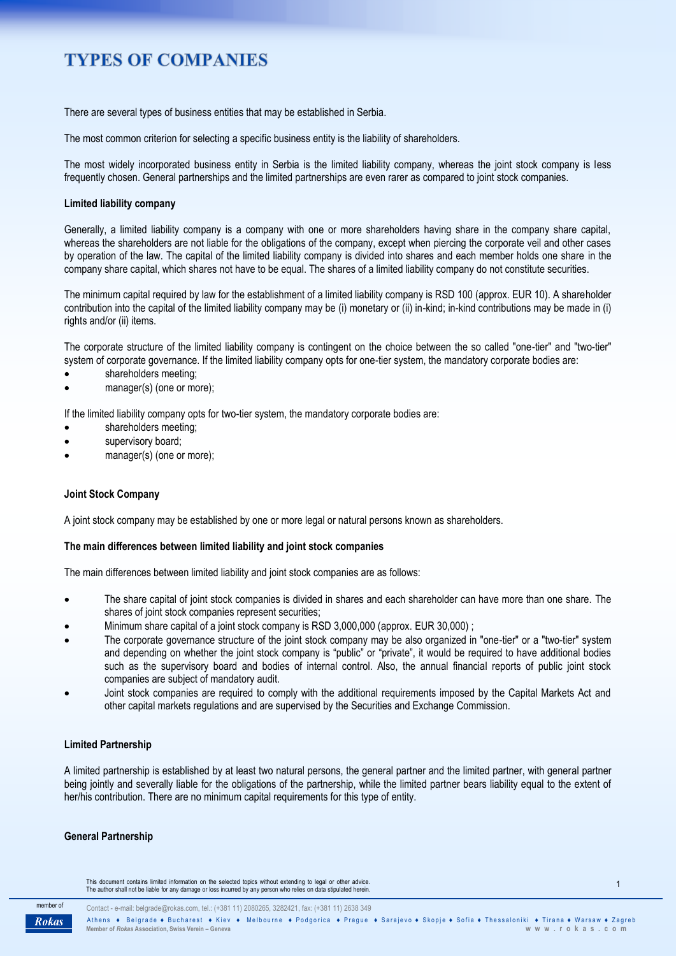# **TYPES OF COMPANIES**

There are several types of business entities that may be established in Serbia.

The most common criterion for selecting a specific business entity is the liability of shareholders.

The most widely incorporated business entity in Serbia is the limited liability company, whereas the joint stock company is less frequently chosen. General partnerships and the limited partnerships are even rarer as compared to joint stock companies.

## **Limited liability company**

Generally, a limited liability company is a company with one or more shareholders having share in the company share capital, whereas the shareholders are not liable for the obligations of the company, except when piercing the corporate veil and other cases by operation of the law. The capital of the limited liability company is divided into shares and each member holds one share in the company share capital, which shares not have to be equal. The shares of a limited liability company do not constitute securities.

The minimum capital required by law for the establishment of a limited liability company is RSD 100 (approx. EUR 10). A shareholder contribution into the capital of the limited liability company may be (i) monetary or (ii) in-kind; in-kind contributions may be made in (i) rights and/or (ii) items.

The corporate structure of the limited liability company is contingent on the choice between the so called "one-tier" and "two-tier" system of corporate governance. If the limited liability company opts for one-tier system, the mandatory corporate bodies are:

- shareholders meeting;
- manager(s) (one or more);

If the limited liability company opts for two-tier system, the mandatory corporate bodies are:

- shareholders meeting;
- supervisory board;
- manager(s) (one or more);

## **Joint Stock Company**

A joint stock company may be established by one or more legal or natural persons known as shareholders.

## **The main differences between limited liability and joint stock companies**

The main differences between limited liability and joint stock companies are as follows:

- The share capital of joint stock companies is divided in shares and each shareholder can have more than one share. The shares of joint stock companies represent securities;
- Minimum share capital of a joint stock company is RSD 3,000,000 (approx. EUR 30,000) ;
- The corporate governance structure of the joint stock company may be also organized in "one-tier" or a "two-tier" system and depending on whether the joint stock company is "public" or "private", it would be required to have additional bodies such as the supervisory board and bodies of internal control. Also, the annual financial reports of public joint stock companies are subject of mandatory audit.
- Joint stock companies are required to comply with the additional requirements imposed by the Capital Markets Act and other capital markets regulations and are supervised by the Securities and Exchange Commission.

## **Limited Partnership**

A limited partnership is established by at least two natural persons, the general partner and the limited partner, with general partner being jointly and severally liable for the obligations of the partnership, while the limited partner bears liability equal to the extent of her/his contribution. There are no minimum capital requirements for this type of entity.

## **General Partnership**

This document contains limited information on the selected topics without extending to legal or other advice.<br>The author shall not be liable for any damage or loss incurred by any person who relies on data stipulated herei